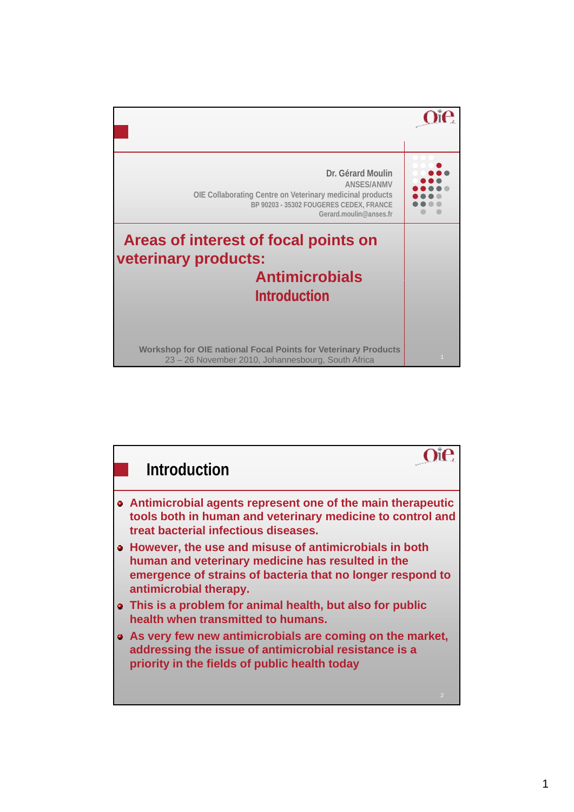

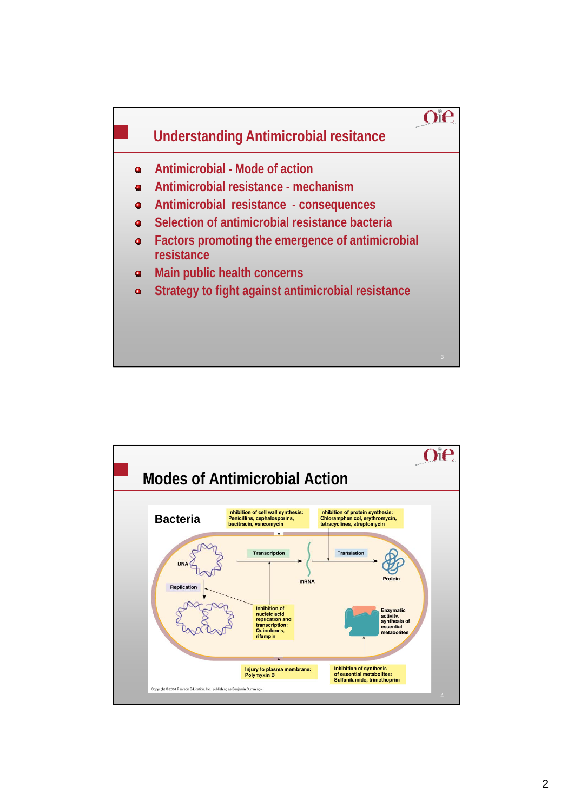

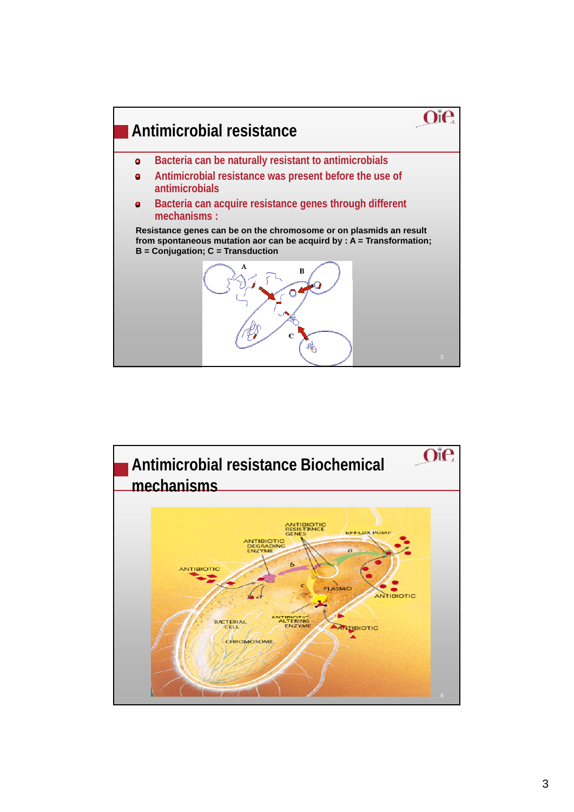

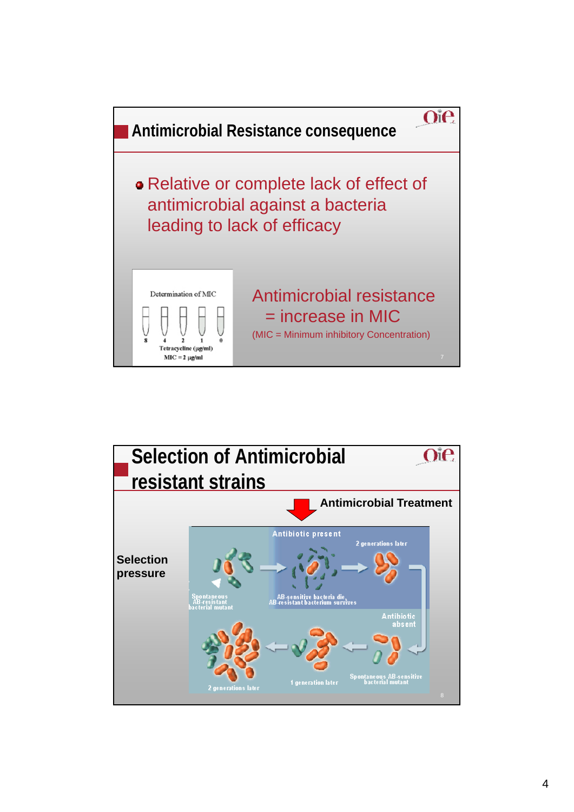

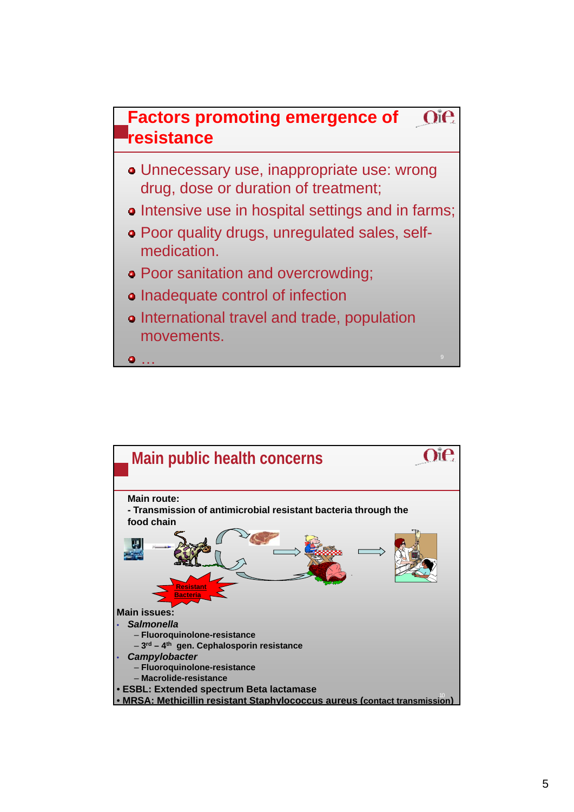

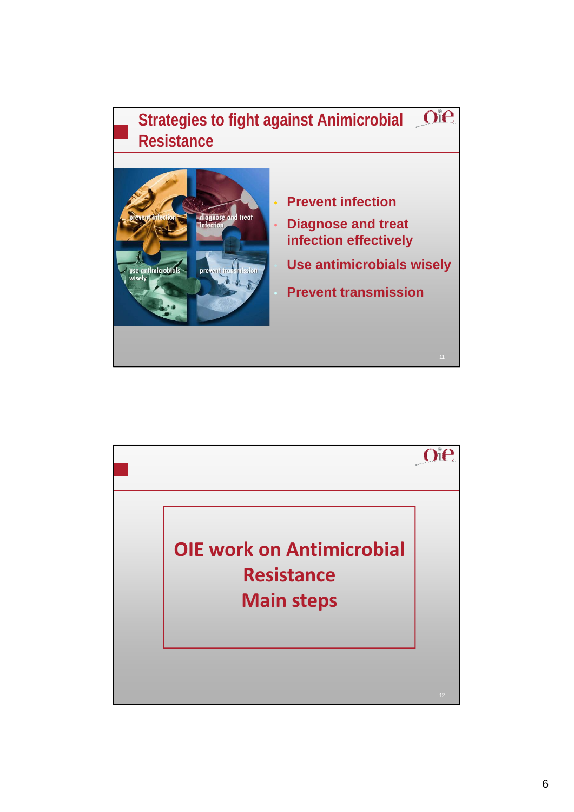

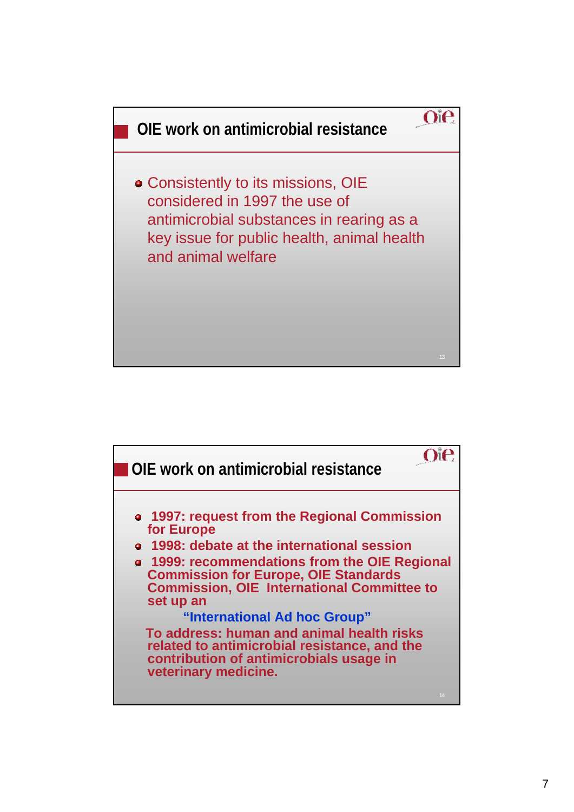

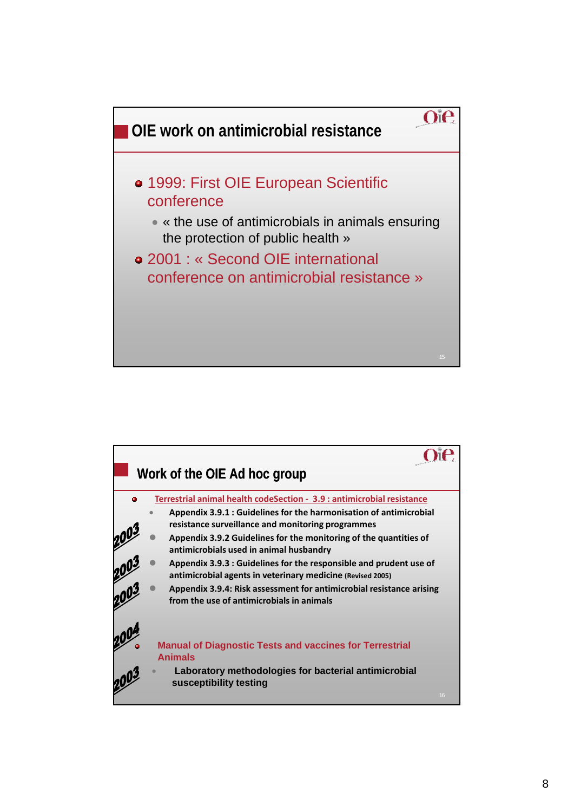

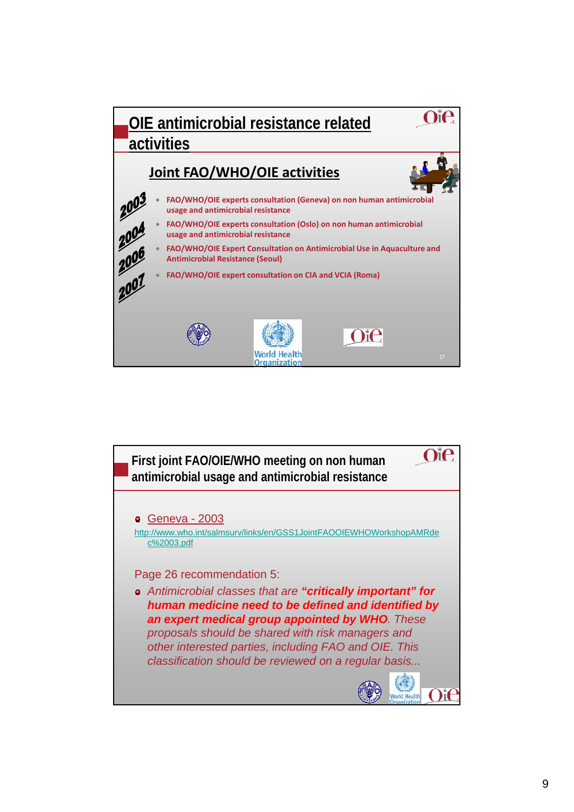

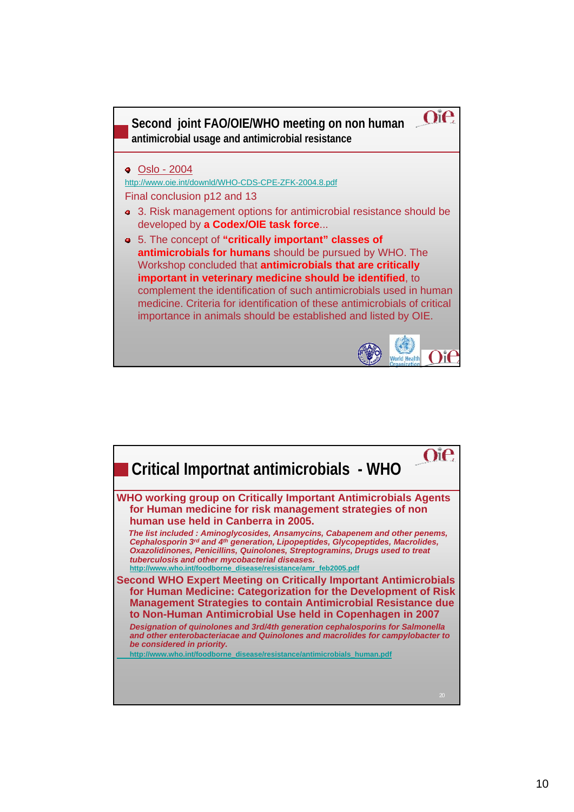

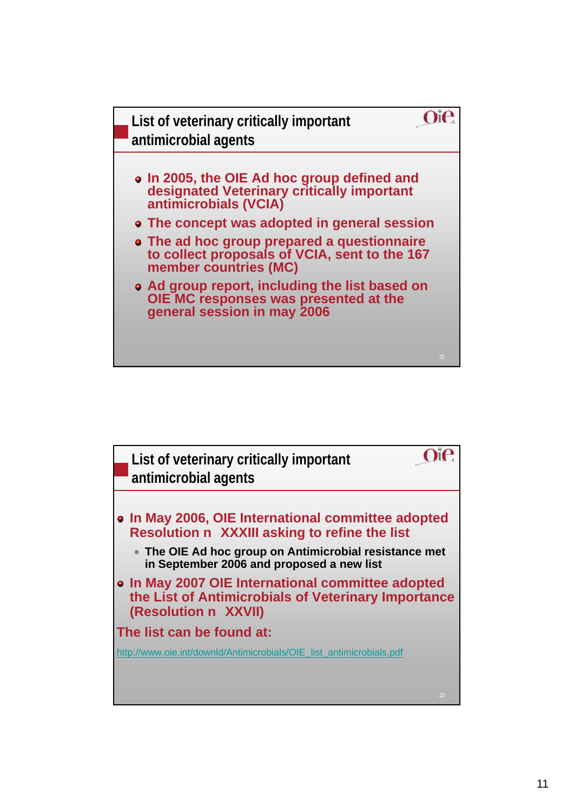

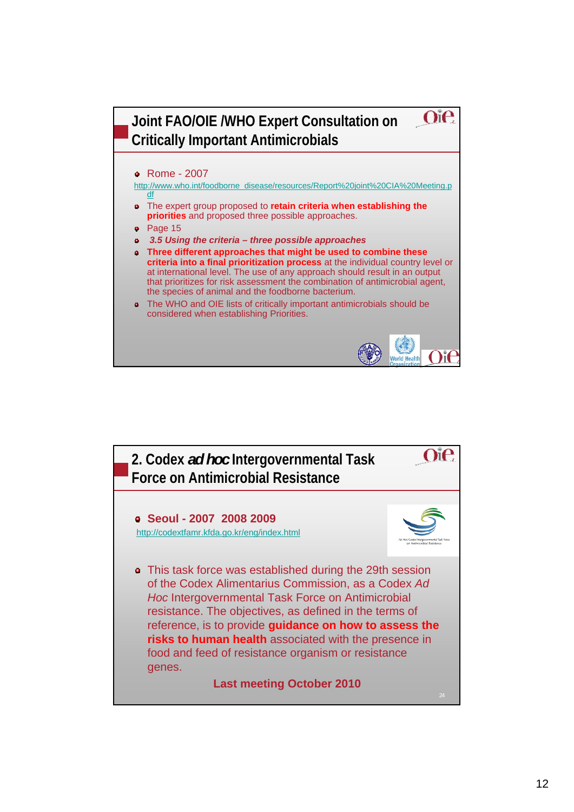

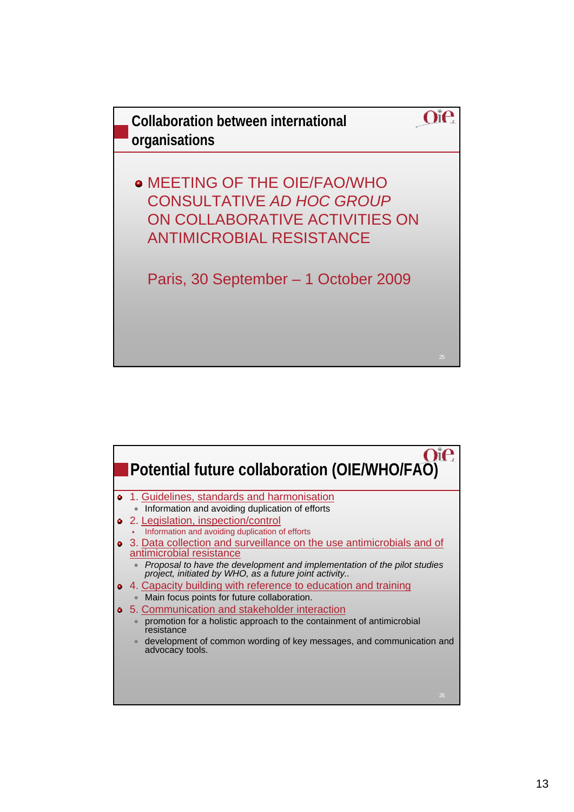

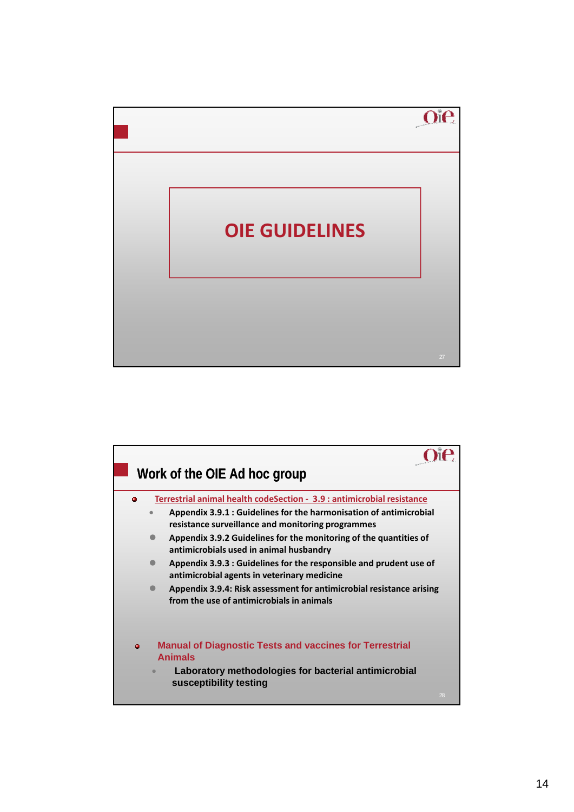

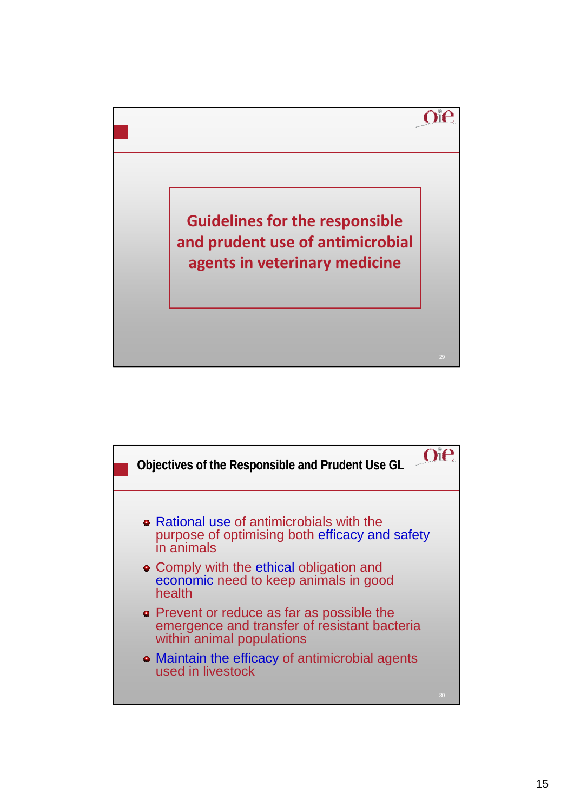

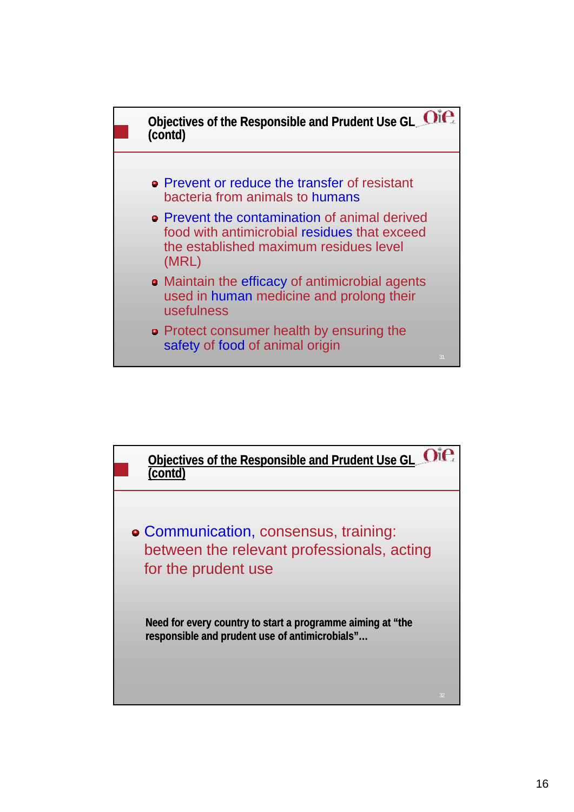

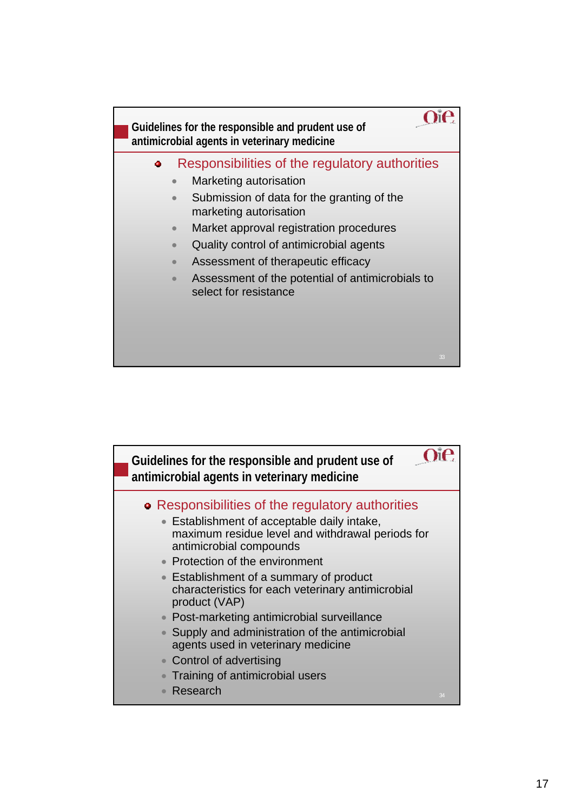

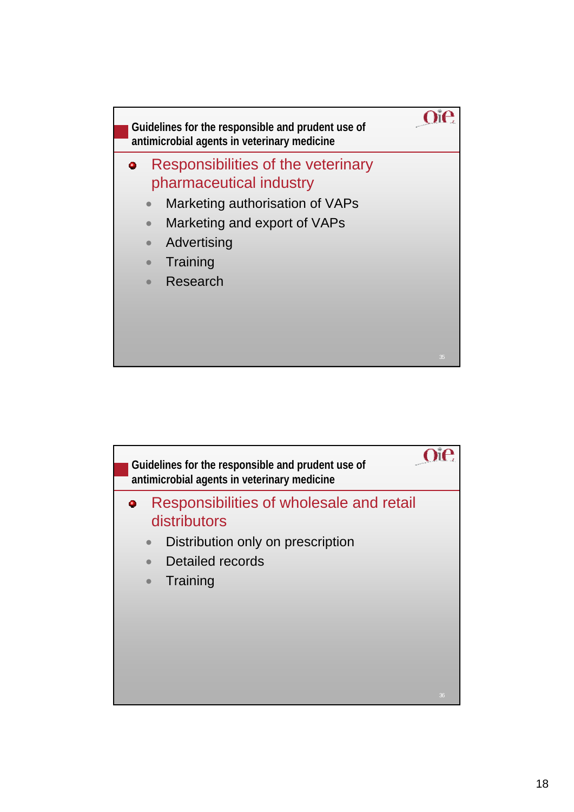

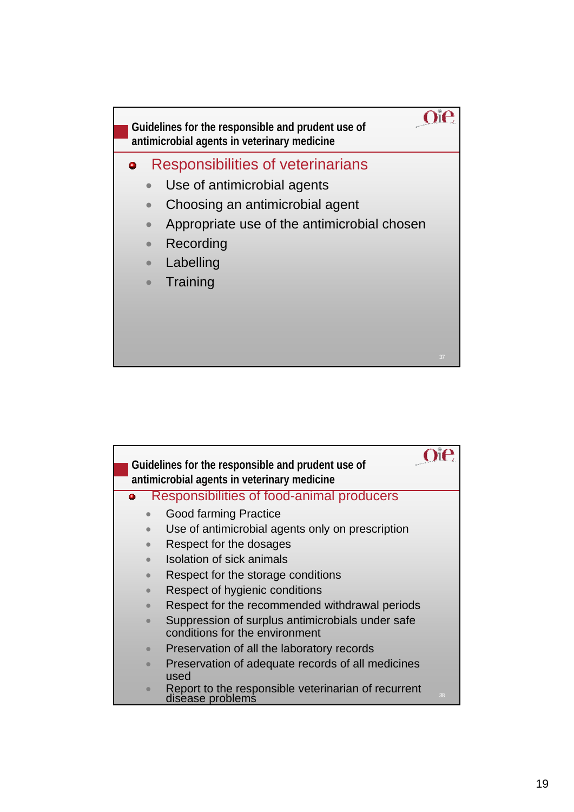

|           | Guidelines for the responsible and prudent use of                                  |
|-----------|------------------------------------------------------------------------------------|
|           | antimicrobial agents in veterinary medicine                                        |
| ۰         | <b>Responsibilities of food-animal producers</b>                                   |
|           | <b>Good farming Practice</b>                                                       |
|           | Use of antimicrobial agents only on prescription                                   |
|           | Respect for the dosages                                                            |
|           | Isolation of sick animals                                                          |
|           | Respect for the storage conditions                                                 |
|           | Respect of hygienic conditions                                                     |
|           | Respect for the recommended withdrawal periods                                     |
|           | Suppression of surplus antimicrobials under safe<br>conditions for the environment |
| $\bullet$ | Preservation of all the laboratory records                                         |
|           | Preservation of adequate records of all medicines<br>used                          |
|           | Report to the responsible veterinarian of recurrent<br>disease problems<br>38      |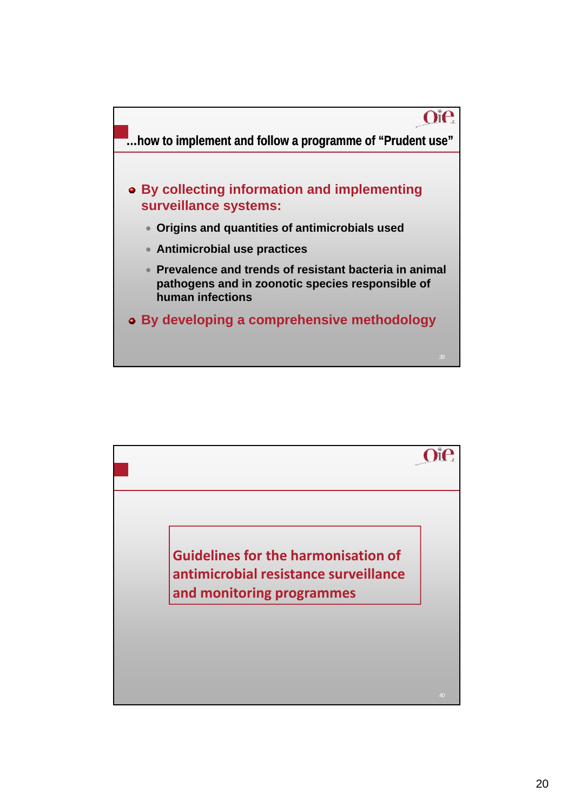

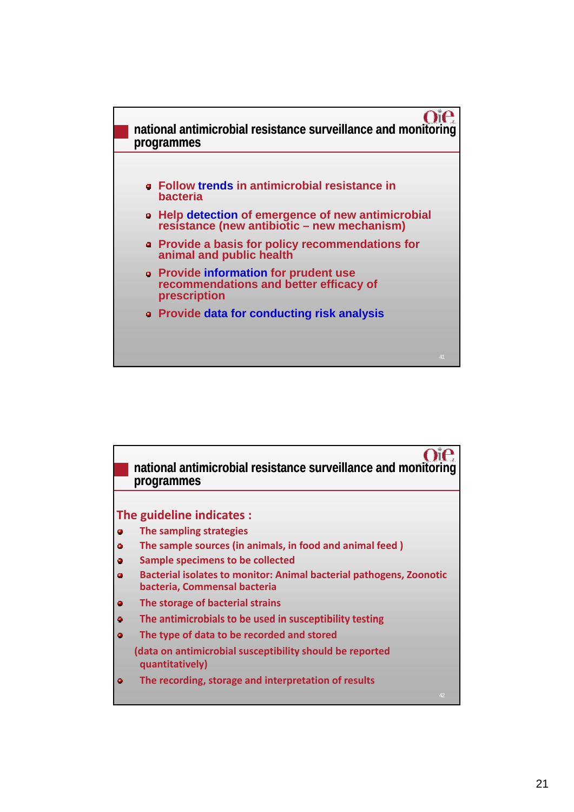

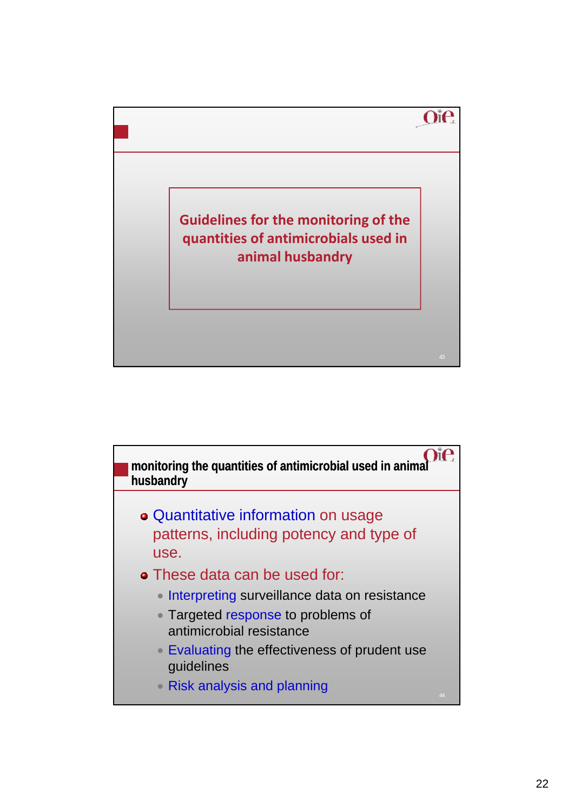

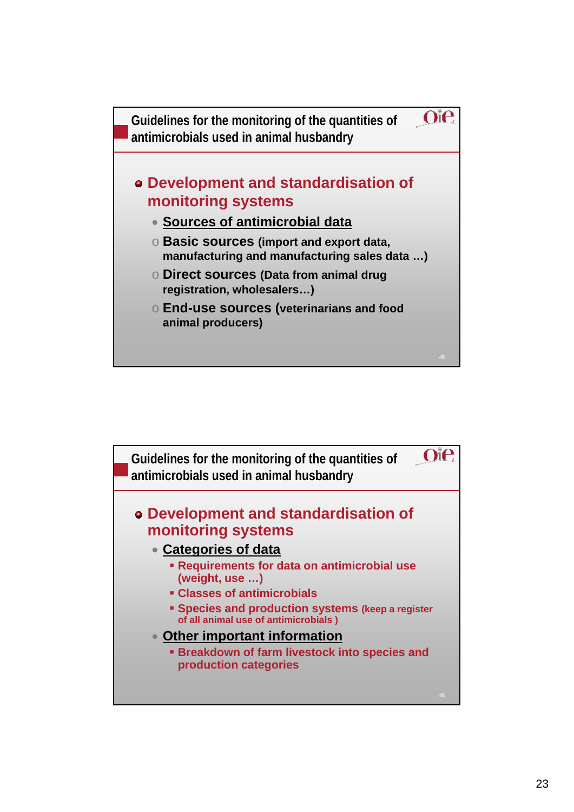

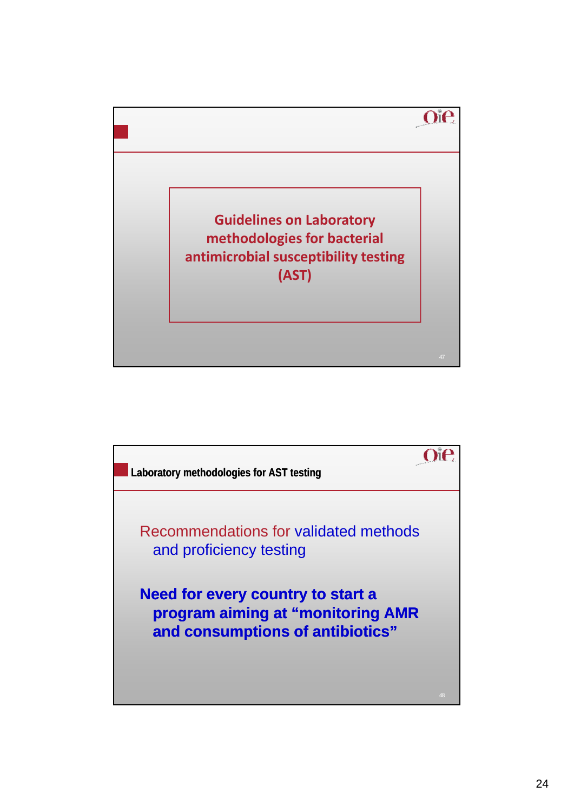

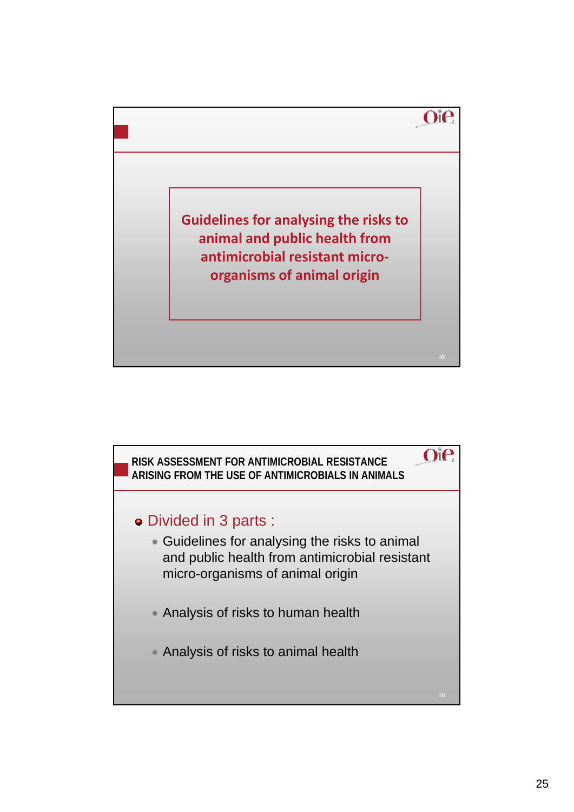

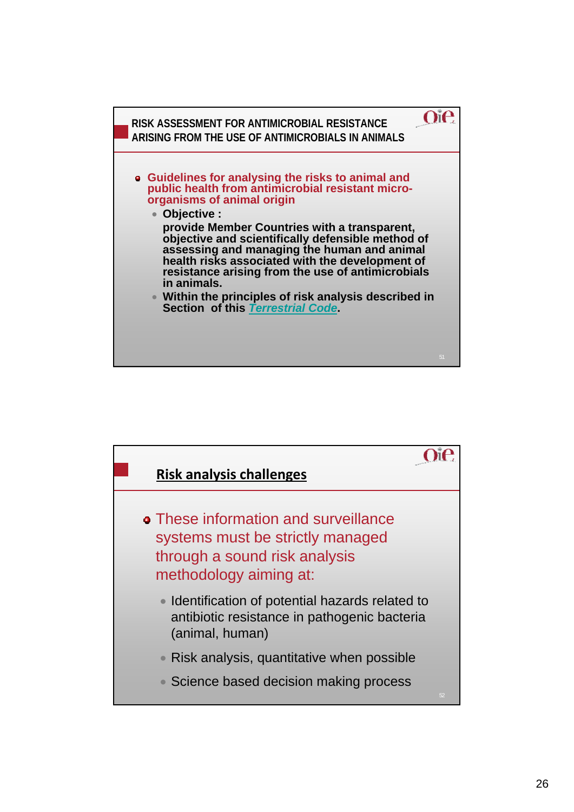

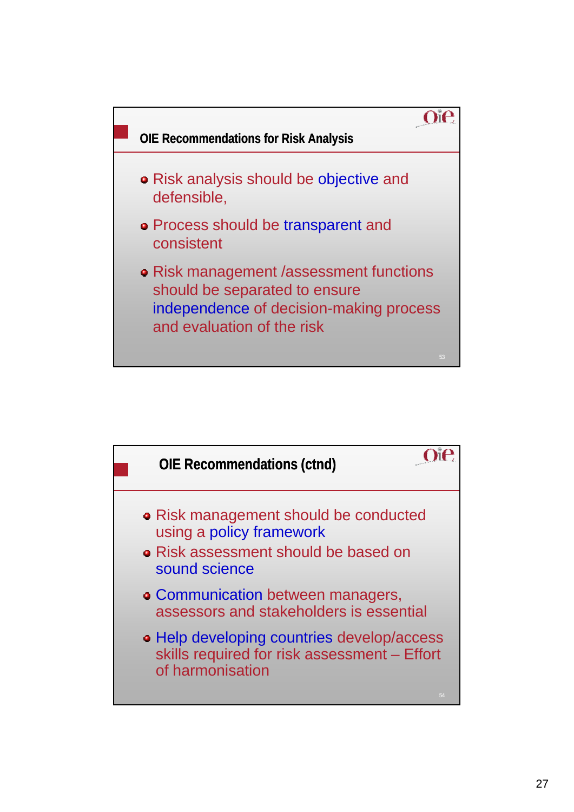

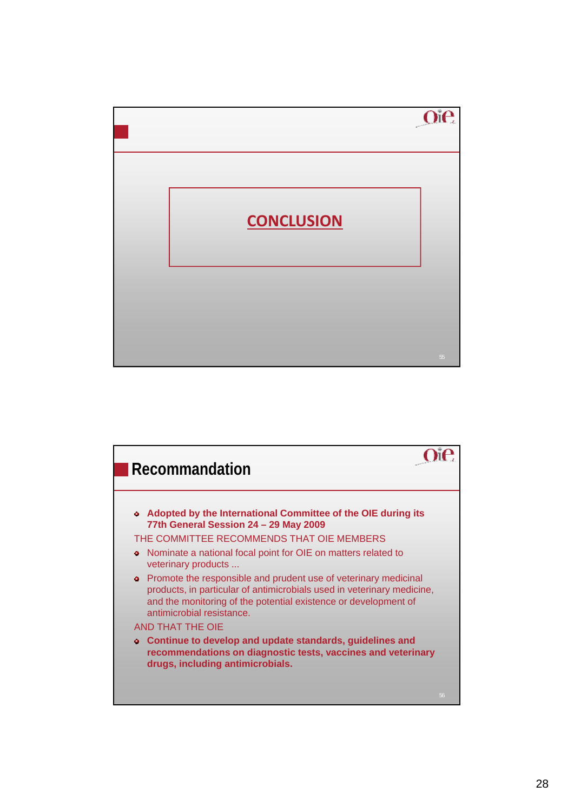